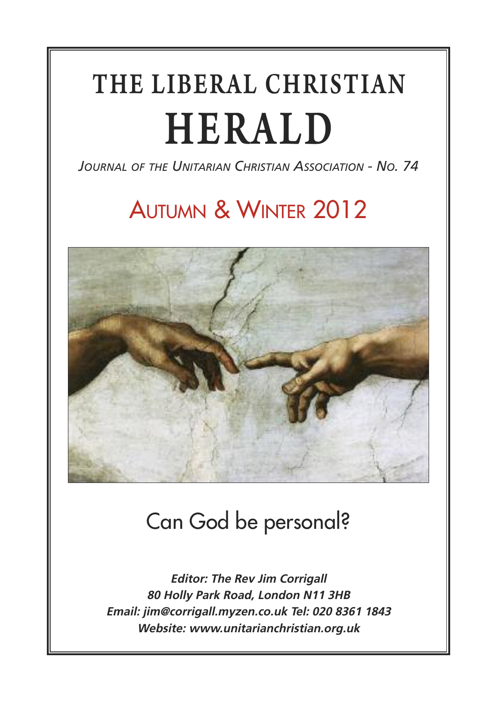# THE LIBERAL CHRISTIAN HERALD

*JOURNAL OF THE UNITARIAN CHRISTIAN ASSOCIATION - NO. 74*

## AUTUMN & WINTER 2012



## Can God be personal?

**Editor: The Rev Jim Corrigall 80 Holly Park Road, London N11 3HB Email: jim@corrigall.myzen.co.uk Tel: 020 8361 1843 Website: www.unitarianchristian.org.uk**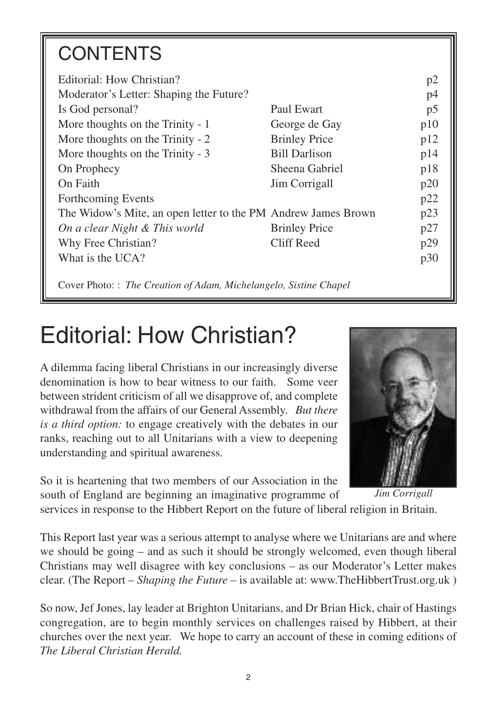## **CONTENTS**

| Editorial: How Christian?                                     |                      | p2  |
|---------------------------------------------------------------|----------------------|-----|
| Moderator's Letter: Shaping the Future?                       |                      | p4  |
| Is God personal?                                              | Paul Ewart           | p5  |
| More thoughts on the Trinity - 1                              | George de Gay        | p10 |
| More thoughts on the Trinity - 2                              | <b>Brinley Price</b> | p12 |
| More thoughts on the Trinity - 3                              | <b>Bill Darlison</b> | p14 |
| On Prophecy                                                   | Sheena Gabriel       | p18 |
| On Faith                                                      | Jim Corrigall        | p20 |
| Forthcoming Events                                            |                      | p22 |
| The Widow's Mite, an open letter to the PM Andrew James Brown |                      | p23 |
| On a clear Night & This world                                 | <b>Brinley Price</b> | p27 |
| Why Free Christian?                                           | Cliff Reed           | p29 |
| What is the UCA?                                              |                      | p30 |
|                                                               |                      |     |

Cover Photo: : *The Creation of Adam, Michelangelo, Sistine Chapel*

## Editorial: How Christian?

A dilemma facing liberal Christians in our increasingly diverse denomination is how to bear witness to our faith. Some veer between strident criticism of all we disapprove of, and complete withdrawal from the affairs of our General Assembly. *But there is a third option:* to engage creatively with the debates in our ranks, reaching out to all Unitarians with a view to deepening understanding and spiritual awareness.

So it is heartening that two members of our Association in the south of England are beginning an imaginative programme of



*Jim Corrigall*

services in response to the Hibbert Report on the future of liberal religion in Britain.

This Report last year was a serious attempt to analyse where we Unitarians are and where we should be going – and as such it should be strongly welcomed, even though liberal Christians may well disagree with key conclusions – as our Moderator's Letter makes clear. (The Report – *Shaping the Future* – is available at: www.TheHibbertTrust.org.uk )

So now, Jef Jones, lay leader at Brighton Unitarians, and Dr Brian Hick, chair of Hastings congregation, are to begin monthly services on challenges raised by Hibbert, at their churches over the next year. We hope to carry an account of these in coming editions of *The Liberal Christian Herald.*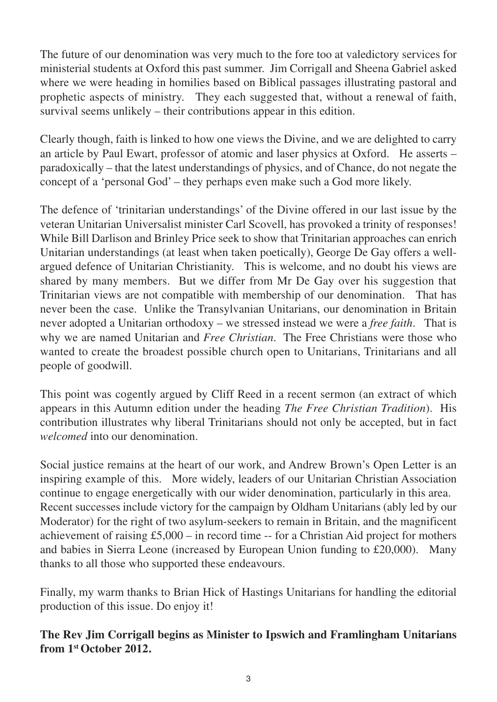The future of our denomination was very much to the fore too at valedictory services for ministerial students at Oxford this past summer. Jim Corrigall and Sheena Gabriel asked where we were heading in homilies based on Biblical passages illustrating pastoral and prophetic aspects of ministry. They each suggested that, without a renewal of faith, survival seems unlikely – their contributions appear in this edition.

Clearly though, faith is linked to how one views the Divine, and we are delighted to carry an article by Paul Ewart, professor of atomic and laser physics at Oxford. He asserts – paradoxically – that the latest understandings of physics, and of Chance, do not negate the concept of a 'personal God' – they perhaps even make such a God more likely.

The defence of 'trinitarian understandings' of the Divine offered in our last issue by the veteran Unitarian Universalist minister Carl Scovell, has provoked a trinity of responses! While Bill Darlison and Brinley Price seek to show that Trinitarian approaches can enrich Unitarian understandings (at least when taken poetically), George De Gay offers a wellargued defence of Unitarian Christianity. This is welcome, and no doubt his views are shared by many members. But we differ from Mr De Gay over his suggestion that Trinitarian views are not compatible with membership of our denomination. That has never been the case. Unlike the Transylvanian Unitarians, our denomination in Britain never adopted a Unitarian orthodoxy – we stressed instead we were a *free faith*. That is why we are named Unitarian and *Free Christian*. The Free Christians were those who wanted to create the broadest possible church open to Unitarians, Trinitarians and all people of goodwill.

This point was cogently argued by Cliff Reed in a recent sermon (an extract of which appears in this Autumn edition under the heading *The Free Christian Tradition*). His contribution illustrates why liberal Trinitarians should not only be accepted, but in fact *welcomed* into our denomination.

Social justice remains at the heart of our work, and Andrew Brown's Open Letter is an inspiring example of this. More widely, leaders of our Unitarian Christian Association continue to engage energetically with our wider denomination, particularly in this area. Recent successes include victory for the campaign by Oldham Unitarians (ably led by our Moderator) for the right of two asylum-seekers to remain in Britain, and the magnificent achievement of raising  $£5,000 -$  in record time  $-$  for a Christian Aid project for mothers and babies in Sierra Leone (increased by European Union funding to £20,000). Many thanks to all those who supported these endeavours.

Finally, my warm thanks to Brian Hick of Hastings Unitarians for handling the editorial production of this issue. Do enjoy it!

**The Rev Jim Corrigall begins as Minister to Ipswich and Framlingham Unitarians from 1stOctober 2012.**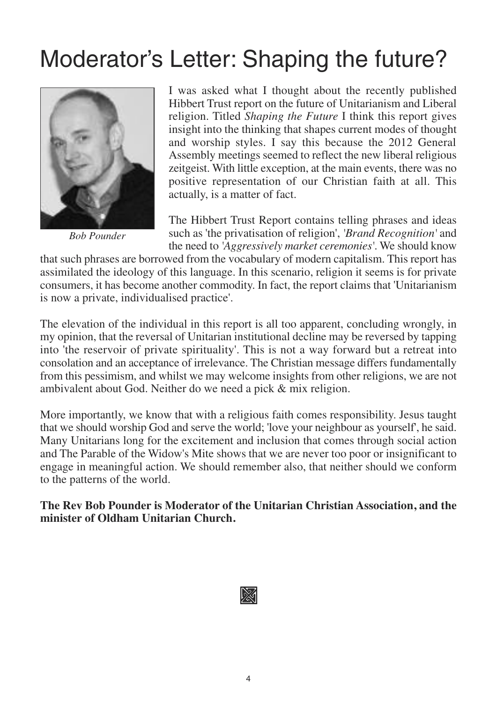## Moderator's Letter: Shaping the future?



*Bob Pounder*

I was asked what I thought about the recently published Hibbert Trust report on the future of Unitarianism and Liberal religion. Titled *Shaping the Future* I think this report gives insight into the thinking that shapes current modes of thought and worship styles. I say this because the 2012 General Assembly meetings seemed to reflect the new liberal religious zeitgeist. With little exception, at the main events, there was no positive representation of our Christian faith at all. This actually, is a matter of fact.

The Hibbert Trust Report contains telling phrases and ideas such as 'the privatisation of religion', *'Brand Recognition'* and the need to *'Aggressively market ceremonies'*. We should know

that such phrases are borrowed from the vocabulary of modern capitalism. This report has assimilated the ideology of this language. In this scenario, religion it seems is for private consumers, it has become another commodity. In fact, the report claims that 'Unitarianism is now a private, individualised practice'.

The elevation of the individual in this report is all too apparent, concluding wrongly, in my opinion, that the reversal of Unitarian institutional decline may be reversed by tapping into 'the reservoir of private spirituality'. This is not a way forward but a retreat into consolation and an acceptance of irrelevance. The Christian message differs fundamentally from this pessimism, and whilst we may welcome insights from other religions, we are not ambivalent about God. Neither do we need a pick & mix religion.

More importantly, we know that with a religious faith comes responsibility. Jesus taught that we should worship God and serve the world; 'love your neighbour as yourself', he said. Many Unitarians long for the excitement and inclusion that comes through social action and The Parable of the Widow's Mite shows that we are never too poor or insignificant to engage in meaningful action. We should remember also, that neither should we conform to the patterns of the world.

**The Rev Bob Pounder is Moderator of the Unitarian Christian Association, and the minister of Oldham Unitarian Church.**

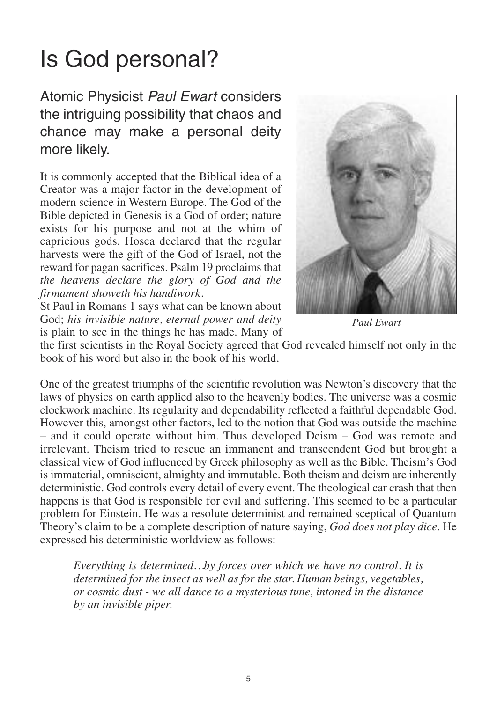## Is God personal?

Atomic Physicist *Paul Ewart* considers the intriguing possibility that chaos and chance may make a personal deity more likely.

It is commonly accepted that the Biblical idea of a Creator was a major factor in the development of modern science in Western Europe. The God of the Bible depicted in Genesis is a God of order; nature exists for his purpose and not at the whim of capricious gods. Hosea declared that the regular harvests were the gift of the God of Israel, not the reward for pagan sacrifices. Psalm 19 proclaims that *the heavens declare the glory of God and the firmament showeth his handiwork.*

St Paul in Romans 1 says what can be known about God; *his invisible nature, eternal power and deity* is plain to see in the things he has made. Many of



*Paul Ewart* 

the first scientists in the Royal Society agreed that God revealed himself not only in the book of his word but also in the book of his world.

One of the greatest triumphs of the scientific revolution was Newton's discovery that the laws of physics on earth applied also to the heavenly bodies. The universe was a cosmic clockwork machine. Its regularity and dependability reflected a faithful dependable God. However this, amongst other factors, led to the notion that God was outside the machine – and it could operate without him. Thus developed Deism – God was remote and irrelevant. Theism tried to rescue an immanent and transcendent God but brought a classical view of God influenced by Greek philosophy as well as the Bible. Theism's God is immaterial, omniscient, almighty and immutable. Both theism and deism are inherently deterministic. God controls every detail of every event. The theological car crash that then happens is that God is responsible for evil and suffering. This seemed to be a particular problem for Einstein. He was a resolute determinist and remained sceptical of Quantum Theory's claim to be a complete description of nature saying, *God does not play dice*. He expressed his deterministic worldview as follows:

*Everything is determined…by forces over which we have no control. It is determined for the insect as well as for the star. Human beings, vegetables, or cosmic dust - we all dance to a mysterious tune, intoned in the distance by an invisible piper.*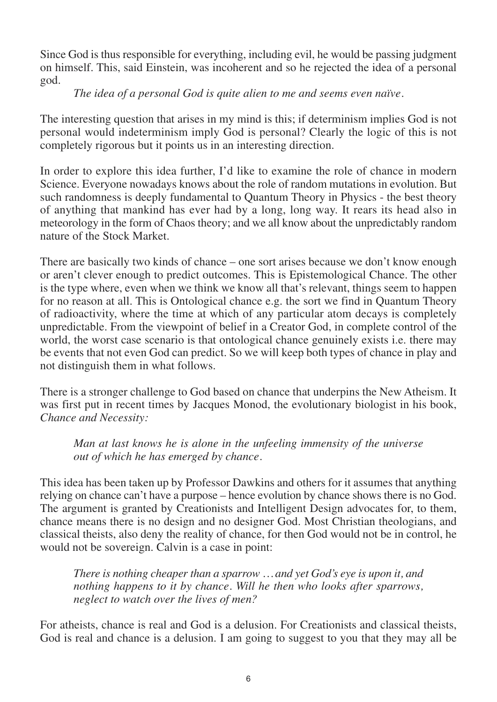Since God is thus responsible for everything, including evil, he would be passing judgment on himself. This, said Einstein, was incoherent and so he rejected the idea of a personal god.

#### *The idea of a personal God is quite alien to me and seems even naïve.*

The interesting question that arises in my mind is this; if determinism implies God is not personal would indeterminism imply God is personal? Clearly the logic of this is not completely rigorous but it points us in an interesting direction.

In order to explore this idea further, I'd like to examine the role of chance in modern Science. Everyone nowadays knows about the role of random mutations in evolution. But such randomness is deeply fundamental to Quantum Theory in Physics - the best theory of anything that mankind has ever had by a long, long way. It rears its head also in meteorology in the form of Chaos theory; and we all know about the unpredictably random nature of the Stock Market.

There are basically two kinds of chance – one sort arises because we don't know enough or aren't clever enough to predict outcomes. This is Epistemological Chance. The other is the type where, even when we think we know all that's relevant, things seem to happen for no reason at all. This is Ontological chance e.g. the sort we find in Quantum Theory of radioactivity, where the time at which of any particular atom decays is completely unpredictable. From the viewpoint of belief in a Creator God, in complete control of the world, the worst case scenario is that ontological chance genuinely exists i.e. there may be events that not even God can predict. So we will keep both types of chance in play and not distinguish them in what follows.

There is a stronger challenge to God based on chance that underpins the New Atheism. It was first put in recent times by Jacques Monod, the evolutionary biologist in his book, *Chance and Necessity:* 

*Man at last knows he is alone in the unfeeling immensity of the universe out of which he has emerged by chance.*

This idea has been taken up by Professor Dawkins and others for it assumes that anything relying on chance can't have a purpose – hence evolution by chance shows there is no God. The argument is granted by Creationists and Intelligent Design advocates for, to them, chance means there is no design and no designer God. Most Christian theologians, and classical theists, also deny the reality of chance, for then God would not be in control, he would not be sovereign. Calvin is a case in point:

*There is nothing cheaper than a sparrow … and yet God's eye is upon it, and nothing happens to it by chance. Will he then who looks after sparrows, neglect to watch over the lives of men?* 

For atheists, chance is real and God is a delusion. For Creationists and classical theists, God is real and chance is a delusion. I am going to suggest to you that they may all be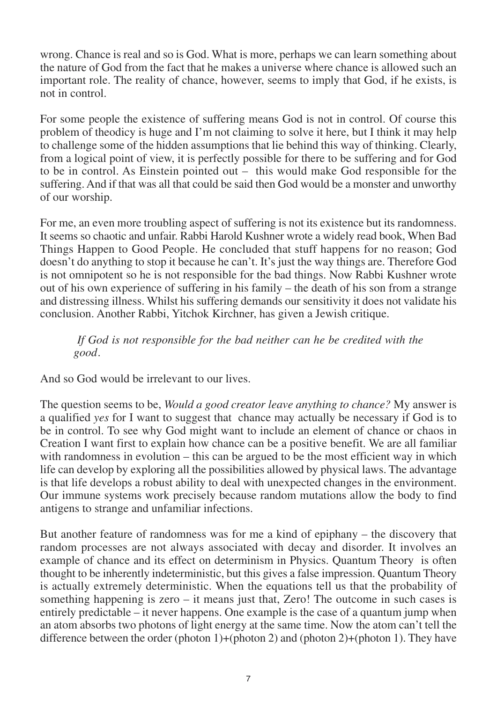wrong. Chance is real and so is God. What is more, perhaps we can learn something about the nature of God from the fact that he makes a universe where chance is allowed such an important role. The reality of chance, however, seems to imply that God, if he exists, is not in control.

For some people the existence of suffering means God is not in control. Of course this problem of theodicy is huge and I'm not claiming to solve it here, but I think it may help to challenge some of the hidden assumptions that lie behind this way of thinking. Clearly, from a logical point of view, it is perfectly possible for there to be suffering and for God to be in control. As Einstein pointed out – this would make God responsible for the suffering. And if that was all that could be said then God would be a monster and unworthy of our worship.

For me, an even more troubling aspect of suffering is not its existence but its randomness. It seems so chaotic and unfair. Rabbi Harold Kushner wrote a widely read book, When Bad Things Happen to Good People. He concluded that stuff happens for no reason; God doesn't do anything to stop it because he can't. It's just the way things are. Therefore God is not omnipotent so he is not responsible for the bad things. Now Rabbi Kushner wrote out of his own experience of suffering in his family – the death of his son from a strange and distressing illness. Whilst his suffering demands our sensitivity it does not validate his conclusion. Another Rabbi, Yitchok Kirchner, has given a Jewish critique.

*If God is not responsible for the bad neither can he be credited with the good.* 

And so God would be irrelevant to our lives.

The question seems to be, *Would a good creator leave anything to chance?* My answer is a qualified *yes* for I want to suggest that chance may actually be necessary if God is to be in control. To see why God might want to include an element of chance or chaos in Creation I want first to explain how chance can be a positive benefit. We are all familiar with randomness in evolution – this can be argued to be the most efficient way in which life can develop by exploring all the possibilities allowed by physical laws. The advantage is that life develops a robust ability to deal with unexpected changes in the environment. Our immune systems work precisely because random mutations allow the body to find antigens to strange and unfamiliar infections.

But another feature of randomness was for me a kind of epiphany – the discovery that random processes are not always associated with decay and disorder. It involves an example of chance and its effect on determinism in Physics. Quantum Theory is often thought to be inherently indeterministic, but this gives a false impression. Quantum Theory is actually extremely deterministic. When the equations tell us that the probability of something happening is zero  $-$  it means just that, Zero! The outcome in such cases is entirely predictable – it never happens. One example is the case of a quantum jump when an atom absorbs two photons of light energy at the same time. Now the atom can't tell the difference between the order (photon 1)+(photon 2) and (photon 2)+(photon 1). They have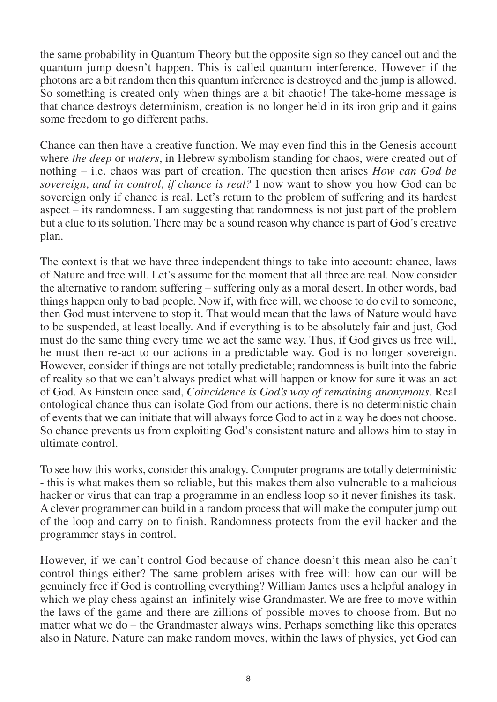the same probability in Quantum Theory but the opposite sign so they cancel out and the quantum jump doesn't happen. This is called quantum interference. However if the photons are a bit random then this quantum inference is destroyed and the jump is allowed. So something is created only when things are a bit chaotic! The take-home message is that chance destroys determinism, creation is no longer held in its iron grip and it gains some freedom to go different paths.

Chance can then have a creative function. We may even find this in the Genesis account where *the deep* or *waters*, in Hebrew symbolism standing for chaos, were created out of nothing – i.e. chaos was part of creation. The question then arises *How can God be sovereign, and in control, if chance is real?* I now want to show you how God can be sovereign only if chance is real. Let's return to the problem of suffering and its hardest aspect – its randomness. I am suggesting that randomness is not just part of the problem but a clue to its solution. There may be a sound reason why chance is part of God's creative plan.

The context is that we have three independent things to take into account: chance, laws of Nature and free will. Let's assume for the moment that all three are real. Now consider the alternative to random suffering – suffering only as a moral desert. In other words, bad things happen only to bad people. Now if, with free will, we choose to do evil to someone, then God must intervene to stop it. That would mean that the laws of Nature would have to be suspended, at least locally. And if everything is to be absolutely fair and just, God must do the same thing every time we act the same way. Thus, if God gives us free will, he must then re-act to our actions in a predictable way. God is no longer sovereign. However, consider if things are not totally predictable; randomness is built into the fabric of reality so that we can't always predict what will happen or know for sure it was an act of God. As Einstein once said, *Coincidence is God's way of remaining anonymous*. Real ontological chance thus can isolate God from our actions, there is no deterministic chain of events that we can initiate that will always force God to act in a way he does not choose. So chance prevents us from exploiting God's consistent nature and allows him to stay in ultimate control.

To see how this works, consider this analogy. Computer programs are totally deterministic - this is what makes them so reliable, but this makes them also vulnerable to a malicious hacker or virus that can trap a programme in an endless loop so it never finishes its task. A clever programmer can build in a random process that will make the computer jump out of the loop and carry on to finish. Randomness protects from the evil hacker and the programmer stays in control.

However, if we can't control God because of chance doesn't this mean also he can't control things either? The same problem arises with free will: how can our will be genuinely free if God is controlling everything? William James uses a helpful analogy in which we play chess against an infinitely wise Grandmaster. We are free to move within the laws of the game and there are zillions of possible moves to choose from. But no matter what we do – the Grandmaster always wins. Perhaps something like this operates also in Nature. Nature can make random moves, within the laws of physics, yet God can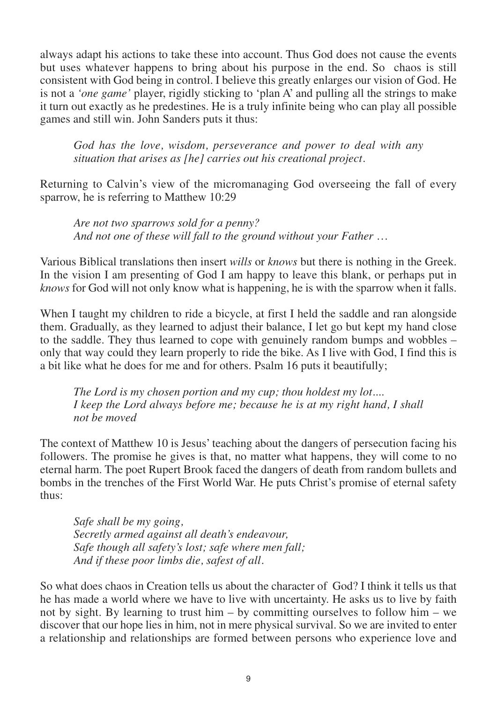always adapt his actions to take these into account. Thus God does not cause the events but uses whatever happens to bring about his purpose in the end. So chaos is still consistent with God being in control. I believe this greatly enlarges our vision of God. He is not a *'one game'* player, rigidly sticking to 'plan A' and pulling all the strings to make it turn out exactly as he predestines. He is a truly infinite being who can play all possible games and still win. John Sanders puts it thus:

*God has the love, wisdom, perseverance and power to deal with any situation that arises as [he] carries out his creational project.*

Returning to Calvin's view of the micromanaging God overseeing the fall of every sparrow, he is referring to Matthew 10:29

*Are not two sparrows sold for a penny? And not one of these will fall to the ground without your Father …* 

Various Biblical translations then insert *wills* or *knows* but there is nothing in the Greek. In the vision I am presenting of God I am happy to leave this blank, or perhaps put in *knows* for God will not only know what is happening, he is with the sparrow when it falls.

When I taught my children to ride a bicycle, at first I held the saddle and ran alongside them. Gradually, as they learned to adjust their balance, I let go but kept my hand close to the saddle. They thus learned to cope with genuinely random bumps and wobbles – only that way could they learn properly to ride the bike. As I live with God, I find this is a bit like what he does for me and for others. Psalm 16 puts it beautifully;

*The Lord is my chosen portion and my cup; thou holdest my lot.... I keep the Lord always before me; because he is at my right hand, I shall not be moved* 

The context of Matthew 10 is Jesus' teaching about the dangers of persecution facing his followers. The promise he gives is that, no matter what happens, they will come to no eternal harm. The poet Rupert Brook faced the dangers of death from random bullets and bombs in the trenches of the First World War. He puts Christ's promise of eternal safety thus:

*Safe shall be my going, Secretly armed against all death's endeavour, Safe though all safety's lost; safe where men fall; And if these poor limbs die, safest of all.*

So what does chaos in Creation tells us about the character of God? I think it tells us that he has made a world where we have to live with uncertainty. He asks us to live by faith not by sight. By learning to trust him – by committing ourselves to follow him – we discover that our hope lies in him, not in mere physical survival. So we are invited to enter a relationship and relationships are formed between persons who experience love and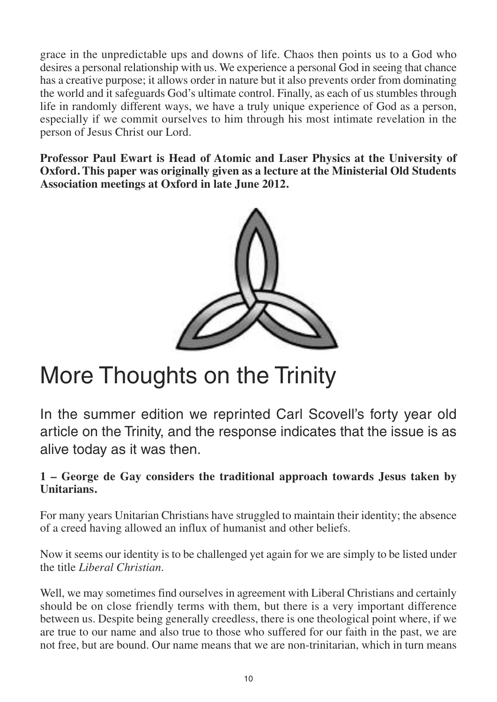grace in the unpredictable ups and downs of life. Chaos then points us to a God who desires a personal relationship with us. We experience a personal God in seeing that chance has a creative purpose; it allows order in nature but it also prevents order from dominating the world and it safeguards God's ultimate control. Finally, as each of us stumbles through life in randomly different ways, we have a truly unique experience of God as a person, especially if we commit ourselves to him through his most intimate revelation in the person of Jesus Christ our Lord.

**Professor Paul Ewart is Head of Atomic and Laser Physics at the University of Oxford. This paper was originally given as a lecture at the Ministerial Old Students Association meetings at Oxford in late June 2012.**



## More Thoughts on the Trinity

In the summer edition we reprinted Carl Scovell's forty year old article on the Trinity, and the response indicates that the issue is as alive today as it was then.

### **1 – George de Gay considers the traditional approach towards Jesus taken by Unitarians.**

For many years Unitarian Christians have struggled to maintain their identity; the absence of a creed having allowed an influx of humanist and other beliefs.

Now it seems our identity is to be challenged yet again for we are simply to be listed under the title *Liberal Christian*.

Well, we may sometimes find ourselves in agreement with Liberal Christians and certainly should be on close friendly terms with them, but there is a very important difference between us. Despite being generally creedless, there is one theological point where, if we are true to our name and also true to those who suffered for our faith in the past, we are not free, but are bound. Our name means that we are non-trinitarian, which in turn means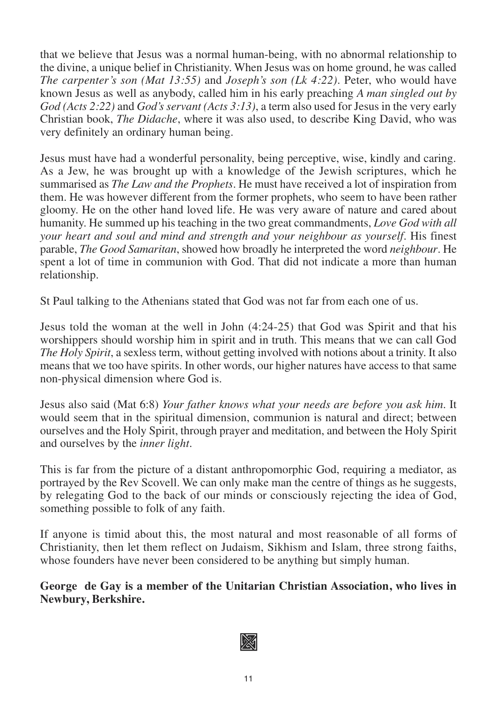that we believe that Jesus was a normal human-being, with no abnormal relationship to the divine, a unique belief in Christianity. When Jesus was on home ground, he was called *The carpenter's son (Mat 13:55)* and *Joseph's son (Lk 4:22)*. Peter, who would have known Jesus as well as anybody, called him in his early preaching *A man singled out by God (Acts 2:22)* and *God's servant (Acts 3:13)*, a term also used for Jesus in the very early Christian book, *The Didache*, where it was also used, to describe King David, who was very definitely an ordinary human being.

Jesus must have had a wonderful personality, being perceptive, wise, kindly and caring. As a Jew, he was brought up with a knowledge of the Jewish scriptures, which he summarised as *The Law and the Prophets*. He must have received a lot of inspiration from them. He was however different from the former prophets, who seem to have been rather gloomy. He on the other hand loved life. He was very aware of nature and cared about humanity. He summed up his teaching in the two great commandments, *Love God with all your heart and soul and mind and strength and your neighbour as yourself*. His finest parable, *The Good Samaritan*, showed how broadly he interpreted the word *neighbour*. He spent a lot of time in communion with God. That did not indicate a more than human relationship.

St Paul talking to the Athenians stated that God was not far from each one of us.

Jesus told the woman at the well in John (4:24-25) that God was Spirit and that his worshippers should worship him in spirit and in truth. This means that we can call God *The Holy Spirit*, a sexless term, without getting involved with notions about a trinity. It also means that we too have spirits. In other words, our higher natures have access to that same non-physical dimension where God is.

Jesus also said (Mat 6:8) *Your father knows what your needs are before you ask him*. It would seem that in the spiritual dimension, communion is natural and direct; between ourselves and the Holy Spirit, through prayer and meditation, and between the Holy Spirit and ourselves by the *inner light*.

This is far from the picture of a distant anthropomorphic God, requiring a mediator, as portrayed by the Rev Scovell. We can only make man the centre of things as he suggests, by relegating God to the back of our minds or consciously rejecting the idea of God, something possible to folk of any faith.

If anyone is timid about this, the most natural and most reasonable of all forms of Christianity, then let them reflect on Judaism, Sikhism and Islam, three strong faiths, whose founders have never been considered to be anything but simply human.

**George de Gay is a member of the Unitarian Christian Association, who lives in Newbury, Berkshire.**

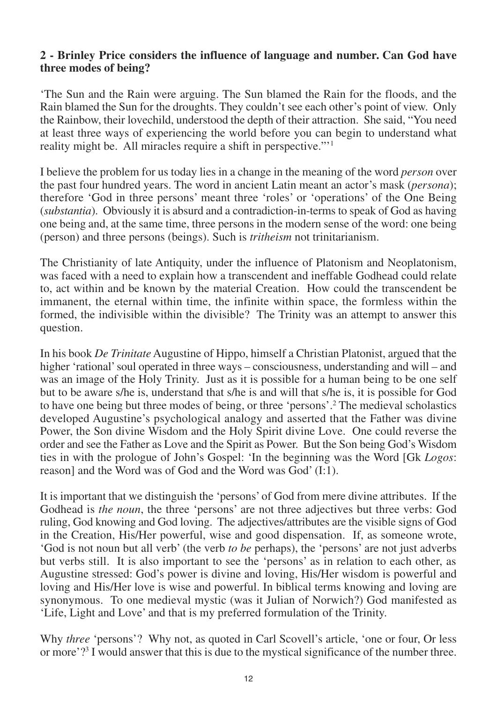#### **2 - Brinley Price considers the influence of language and number. Can God have three modes of being?**

'The Sun and the Rain were arguing. The Sun blamed the Rain for the floods, and the Rain blamed the Sun for the droughts. They couldn't see each other's point of view. Only the Rainbow, their lovechild, understood the depth of their attraction. She said, "You need at least three ways of experiencing the world before you can begin to understand what reality might be. All miracles require a shift in perspective."'1

I believe the problem for us today lies in a change in the meaning of the word *person* over the past four hundred years. The word in ancient Latin meant an actor's mask (*persona*); therefore 'God in three persons' meant three 'roles' or 'operations' of the One Being (*substantia*). Obviously it is absurd and a contradiction-in-terms to speak of God as having one being and, at the same time, three persons in the modern sense of the word: one being (person) and three persons (beings). Such is *tritheism* not trinitarianism.

The Christianity of late Antiquity, under the influence of Platonism and Neoplatonism, was faced with a need to explain how a transcendent and ineffable Godhead could relate to, act within and be known by the material Creation. How could the transcendent be immanent, the eternal within time, the infinite within space, the formless within the formed, the indivisible within the divisible? The Trinity was an attempt to answer this question.

In his book *De Trinitate* Augustine of Hippo, himself a Christian Platonist, argued that the higher 'rational' soul operated in three ways – consciousness, understanding and will – and was an image of the Holy Trinity. Just as it is possible for a human being to be one self but to be aware s/he is, understand that s/he is and will that s/he is, it is possible for God to have one being but three modes of being, or three 'persons'.2 The medieval scholastics developed Augustine's psychological analogy and asserted that the Father was divine Power, the Son divine Wisdom and the Holy Spirit divine Love. One could reverse the order and see the Father as Love and the Spirit as Power. But the Son being God's Wisdom ties in with the prologue of John's Gospel: 'In the beginning was the Word [Gk *Logos*: reason] and the Word was of God and the Word was God' (I:1).

It is important that we distinguish the 'persons' of God from mere divine attributes. If the Godhead is *the noun*, the three 'persons' are not three adjectives but three verbs: God ruling, God knowing and God loving. The adjectives/attributes are the visible signs of God in the Creation, His/Her powerful, wise and good dispensation. If, as someone wrote, 'God is not noun but all verb' (the verb *to be* perhaps), the 'persons' are not just adverbs but verbs still. It is also important to see the 'persons' as in relation to each other, as Augustine stressed: God's power is divine and loving, His/Her wisdom is powerful and loving and His/Her love is wise and powerful. In biblical terms knowing and loving are synonymous. To one medieval mystic (was it Julian of Norwich?) God manifested as 'Life, Light and Love' and that is my preferred formulation of the Trinity.

Why *three* 'persons'? Why not, as quoted in Carl Scovell's article, 'one or four, Or less or more'?3 I would answer that this is due to the mystical significance of the number three.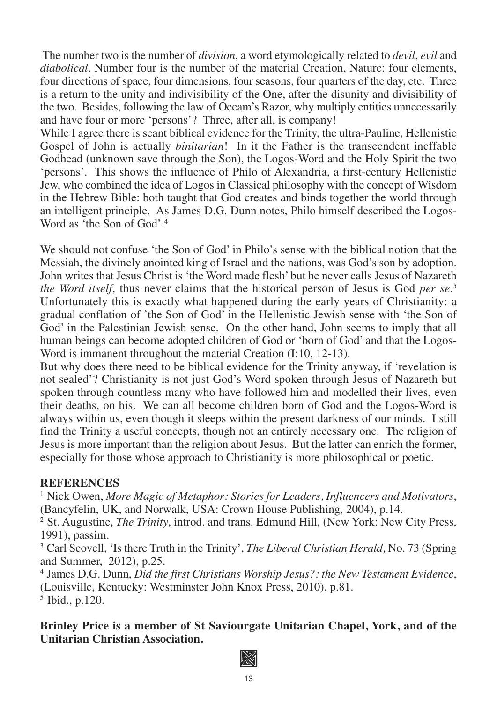The number two is the number of *division*, a word etymologically related to *devil*, *evil* and *diabolical*. Number four is the number of the material Creation, Nature: four elements, four directions of space, four dimensions, four seasons, four quarters of the day, etc. Three is a return to the unity and indivisibility of the One, after the disunity and divisibility of the two. Besides, following the law of Occam's Razor, why multiply entities unnecessarily and have four or more 'persons'? Three, after all, is company!

While I agree there is scant biblical evidence for the Trinity, the ultra-Pauline, Hellenistic Gospel of John is actually *binitarian*! In it the Father is the transcendent ineffable Godhead (unknown save through the Son), the Logos-Word and the Holy Spirit the two 'persons'. This shows the influence of Philo of Alexandria, a first-century Hellenistic Jew, who combined the idea of Logos in Classical philosophy with the concept of Wisdom in the Hebrew Bible: both taught that God creates and binds together the world through an intelligent principle. As James D.G. Dunn notes, Philo himself described the Logos-Word as 'the Son of God'.<sup>4</sup>

We should not confuse 'the Son of God' in Philo's sense with the biblical notion that the Messiah, the divinely anointed king of Israel and the nations, was God's son by adoption. John writes that Jesus Christ is 'the Word made flesh' but he never calls Jesus of Nazareth *the Word itself*, thus never claims that the historical person of Jesus is God *per se*. 5 Unfortunately this is exactly what happened during the early years of Christianity: a gradual conflation of 'the Son of God' in the Hellenistic Jewish sense with 'the Son of God' in the Palestinian Jewish sense. On the other hand, John seems to imply that all human beings can become adopted children of God or 'born of God' and that the Logos-Word is immanent throughout the material Creation (I:10, 12-13).

But why does there need to be biblical evidence for the Trinity anyway, if 'revelation is not sealed'? Christianity is not just God's Word spoken through Jesus of Nazareth but spoken through countless many who have followed him and modelled their lives, even their deaths, on his. We can all become children born of God and the Logos-Word is always within us, even though it sleeps within the present darkness of our minds. I still find the Trinity a useful concepts, though not an entirely necessary one. The religion of Jesus is more important than the religion about Jesus. But the latter can enrich the former, especially for those whose approach to Christianity is more philosophical or poetic.

#### **REFERENCES**

1 Nick Owen, *More Magic of Metaphor: Stories for Leaders, Influencers and Motivators*, (Bancyfelin, UK, and Norwalk, USA: Crown House Publishing, 2004), p.14.

<sup>2</sup> St. Augustine, *The Trinity*, introd. and trans. Edmund Hill, (New York: New City Press, 1991), passim.

3 Carl Scovell, 'Is there Truth in the Trinity', *The Liberal Christian Herald,* No. 73 (Spring and Summer, 2012), p.25.

4 James D.G. Dunn, *Did the first Christians Worship Jesus?: the New Testament Evidence*, (Louisville, Kentucky: Westminster John Knox Press, 2010), p.81. 5 Ibid., p.120.

**Brinley Price is a member of St Saviourgate Unitarian Chapel, York, and of the Unitarian Christian Association.**

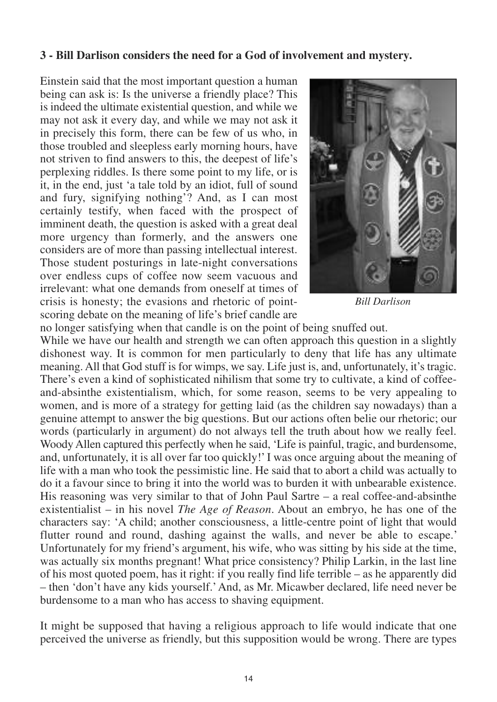#### **3 - Bill Darlison considers the need for a God of involvement and mystery.**

Einstein said that the most important question a human being can ask is: Is the universe a friendly place? This is indeed the ultimate existential question, and while we may not ask it every day, and while we may not ask it in precisely this form, there can be few of us who, in those troubled and sleepless early morning hours, have not striven to find answers to this, the deepest of life's perplexing riddles. Is there some point to my life, or is it, in the end, just 'a tale told by an idiot, full of sound and fury, signifying nothing'? And, as I can most certainly testify, when faced with the prospect of imminent death, the question is asked with a great deal more urgency than formerly, and the answers one considers are of more than passing intellectual interest. Those student posturings in late-night conversations over endless cups of coffee now seem vacuous and irrelevant: what one demands from oneself at times of crisis is honesty; the evasions and rhetoric of pointscoring debate on the meaning of life's brief candle are



*Bill Darlison*

no longer satisfying when that candle is on the point of being snuffed out. While we have our health and strength we can often approach this question in a slightly dishonest way. It is common for men particularly to deny that life has any ultimate meaning. All that God stuff is for wimps, we say. Life just is, and, unfortunately, it's tragic. There's even a kind of sophisticated nihilism that some try to cultivate, a kind of coffeeand-absinthe existentialism, which, for some reason, seems to be very appealing to women, and is more of a strategy for getting laid (as the children say nowadays) than a genuine attempt to answer the big questions. But our actions often belie our rhetoric; our words (particularly in argument) do not always tell the truth about how we really feel. Woody Allen captured this perfectly when he said, 'Life is painful, tragic, and burdensome, and, unfortunately, it is all over far too quickly!' I was once arguing about the meaning of life with a man who took the pessimistic line. He said that to abort a child was actually to do it a favour since to bring it into the world was to burden it with unbearable existence. His reasoning was very similar to that of John Paul Sartre  $-$  a real coffee-and-absinthe existentialist – in his novel *The Age of Reason*. About an embryo, he has one of the characters say: 'A child; another consciousness, a little-centre point of light that would flutter round and round, dashing against the walls, and never be able to escape.' Unfortunately for my friend's argument, his wife, who was sitting by his side at the time, was actually six months pregnant! What price consistency? Philip Larkin, in the last line of his most quoted poem, has it right: if you really find life terrible – as he apparently did – then 'don't have any kids yourself.' And, as Mr. Micawber declared, life need never be burdensome to a man who has access to shaving equipment.

It might be supposed that having a religious approach to life would indicate that one perceived the universe as friendly, but this supposition would be wrong. There are types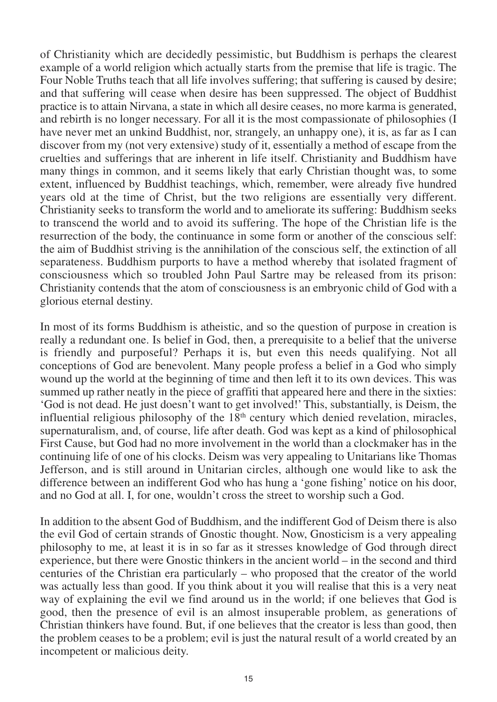of Christianity which are decidedly pessimistic, but Buddhism is perhaps the clearest example of a world religion which actually starts from the premise that life is tragic. The Four Noble Truths teach that all life involves suffering; that suffering is caused by desire; and that suffering will cease when desire has been suppressed. The object of Buddhist practice is to attain Nirvana, a state in which all desire ceases, no more karma is generated, and rebirth is no longer necessary. For all it is the most compassionate of philosophies (I have never met an unkind Buddhist, nor, strangely, an unhappy one), it is, as far as I can discover from my (not very extensive) study of it, essentially a method of escape from the cruelties and sufferings that are inherent in life itself. Christianity and Buddhism have many things in common, and it seems likely that early Christian thought was, to some extent, influenced by Buddhist teachings, which, remember, were already five hundred years old at the time of Christ, but the two religions are essentially very different. Christianity seeks to transform the world and to ameliorate its suffering: Buddhism seeks to transcend the world and to avoid its suffering. The hope of the Christian life is the resurrection of the body, the continuance in some form or another of the conscious self: the aim of Buddhist striving is the annihilation of the conscious self, the extinction of all separateness. Buddhism purports to have a method whereby that isolated fragment of consciousness which so troubled John Paul Sartre may be released from its prison: Christianity contends that the atom of consciousness is an embryonic child of God with a glorious eternal destiny.

In most of its forms Buddhism is atheistic, and so the question of purpose in creation is really a redundant one. Is belief in God, then, a prerequisite to a belief that the universe is friendly and purposeful? Perhaps it is, but even this needs qualifying. Not all conceptions of God are benevolent. Many people profess a belief in a God who simply wound up the world at the beginning of time and then left it to its own devices. This was summed up rather neatly in the piece of graffiti that appeared here and there in the sixties: 'God is not dead. He just doesn't want to get involved!' This, substantially, is Deism, the influential religious philosophy of the  $18<sup>th</sup>$  century which denied revelation, miracles, supernaturalism, and, of course, life after death. God was kept as a kind of philosophical First Cause, but God had no more involvement in the world than a clockmaker has in the continuing life of one of his clocks. Deism was very appealing to Unitarians like Thomas Jefferson, and is still around in Unitarian circles, although one would like to ask the difference between an indifferent God who has hung a 'gone fishing' notice on his door, and no God at all. I, for one, wouldn't cross the street to worship such a God.

In addition to the absent God of Buddhism, and the indifferent God of Deism there is also the evil God of certain strands of Gnostic thought. Now, Gnosticism is a very appealing philosophy to me, at least it is in so far as it stresses knowledge of God through direct experience, but there were Gnostic thinkers in the ancient world – in the second and third centuries of the Christian era particularly – who proposed that the creator of the world was actually less than good. If you think about it you will realise that this is a very neat way of explaining the evil we find around us in the world; if one believes that God is good, then the presence of evil is an almost insuperable problem, as generations of Christian thinkers have found. But, if one believes that the creator is less than good, then the problem ceases to be a problem; evil is just the natural result of a world created by an incompetent or malicious deity.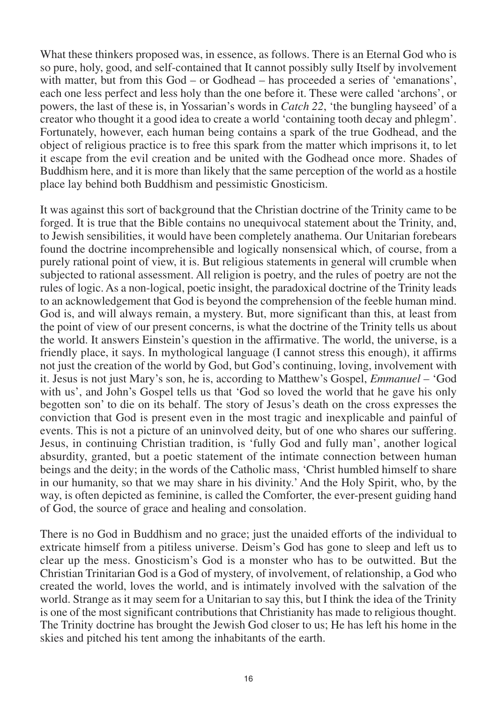What these thinkers proposed was, in essence, as follows. There is an Eternal God who is so pure, holy, good, and self-contained that It cannot possibly sully Itself by involvement with matter, but from this God – or Godhead – has proceeded a series of 'emanations', each one less perfect and less holy than the one before it. These were called 'archons', or powers, the last of these is, in Yossarian's words in *Catch 22*, 'the bungling hayseed' of a creator who thought it a good idea to create a world 'containing tooth decay and phlegm'. Fortunately, however, each human being contains a spark of the true Godhead, and the object of religious practice is to free this spark from the matter which imprisons it, to let it escape from the evil creation and be united with the Godhead once more. Shades of Buddhism here, and it is more than likely that the same perception of the world as a hostile place lay behind both Buddhism and pessimistic Gnosticism.

It was against this sort of background that the Christian doctrine of the Trinity came to be forged. It is true that the Bible contains no unequivocal statement about the Trinity, and, to Jewish sensibilities, it would have been completely anathema. Our Unitarian forebears found the doctrine incomprehensible and logically nonsensical which, of course, from a purely rational point of view, it is. But religious statements in general will crumble when subjected to rational assessment. All religion is poetry, and the rules of poetry are not the rules of logic. As a non-logical, poetic insight, the paradoxical doctrine of the Trinity leads to an acknowledgement that God is beyond the comprehension of the feeble human mind. God is, and will always remain, a mystery. But, more significant than this, at least from the point of view of our present concerns, is what the doctrine of the Trinity tells us about the world. It answers Einstein's question in the affirmative. The world, the universe, is a friendly place, it says. In mythological language (I cannot stress this enough), it affirms not just the creation of the world by God, but God's continuing, loving, involvement with it. Jesus is not just Mary's son, he is, according to Matthew's Gospel, *Emmanuel* – 'God with us', and John's Gospel tells us that 'God so loved the world that he gave his only begotten son' to die on its behalf. The story of Jesus's death on the cross expresses the conviction that God is present even in the most tragic and inexplicable and painful of events. This is not a picture of an uninvolved deity, but of one who shares our suffering. Jesus, in continuing Christian tradition, is 'fully God and fully man', another logical absurdity, granted, but a poetic statement of the intimate connection between human beings and the deity; in the words of the Catholic mass, 'Christ humbled himself to share in our humanity, so that we may share in his divinity.' And the Holy Spirit, who, by the way, is often depicted as feminine, is called the Comforter, the ever-present guiding hand of God, the source of grace and healing and consolation.

There is no God in Buddhism and no grace; just the unaided efforts of the individual to extricate himself from a pitiless universe. Deism's God has gone to sleep and left us to clear up the mess. Gnosticism's God is a monster who has to be outwitted. But the Christian Trinitarian God is a God of mystery, of involvement, of relationship, a God who created the world, loves the world, and is intimately involved with the salvation of the world. Strange as it may seem for a Unitarian to say this, but I think the idea of the Trinity is one of the most significant contributions that Christianity has made to religious thought. The Trinity doctrine has brought the Jewish God closer to us; He has left his home in the skies and pitched his tent among the inhabitants of the earth.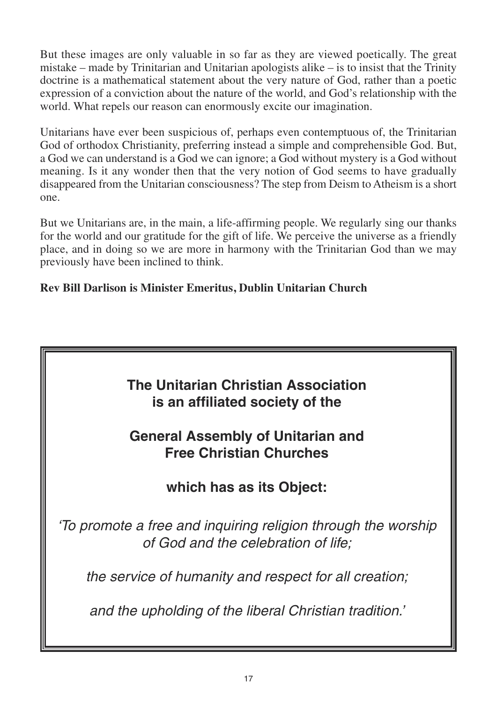But these images are only valuable in so far as they are viewed poetically. The great mistake – made by Trinitarian and Unitarian apologists alike – is to insist that the Trinity doctrine is a mathematical statement about the very nature of God, rather than a poetic expression of a conviction about the nature of the world, and God's relationship with the world. What repels our reason can enormously excite our imagination.

Unitarians have ever been suspicious of, perhaps even contemptuous of, the Trinitarian God of orthodox Christianity, preferring instead a simple and comprehensible God. But, a God we can understand is a God we can ignore; a God without mystery is a God without meaning. Is it any wonder then that the very notion of God seems to have gradually disappeared from the Unitarian consciousness? The step from Deism to Atheism is a short one.

But we Unitarians are, in the main, a life-affirming people. We regularly sing our thanks for the world and our gratitude for the gift of life. We perceive the universe as a friendly place, and in doing so we are more in harmony with the Trinitarian God than we may previously have been inclined to think.

### **Rev Bill Darlison is Minister Emeritus, Dublin Unitarian Church**

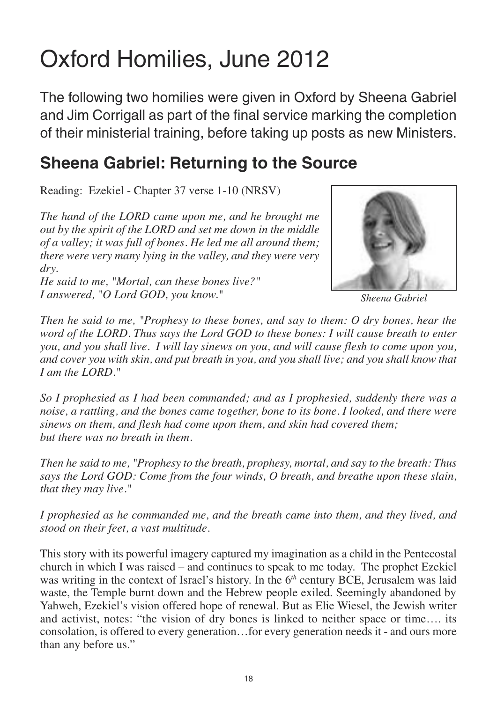## Oxford Homilies, June 2012

The following two homilies were given in Oxford by Sheena Gabriel and Jim Corrigall as part of the final service marking the completion of their ministerial training, before taking up posts as new Ministers.

## **Sheena Gabriel: Returning to the Source**

Reading: Ezekiel - Chapter 37 verse 1-10 (NRSV)

*The hand of the LORD came upon me, and he brought me out by the spirit of the LORD and set me down in the middle of a valley; it was full of bones. He led me all around them; there were very many lying in the valley, and they were very dry.*

*He said to me, "Mortal, can these bones live?" I answered, "O Lord GOD, you know."*



*Sheena Gabriel*

*Then he said to me, "Prophesy to these bones, and say to them: O dry bones, hear the word of the LORD. Thus says the Lord GOD to these bones: I will cause breath to enter you, and you shall live. I will lay sinews on you, and will cause flesh to come upon you, and cover you with skin, and put breath in you, and you shall live; and you shall know that I am the LORD."*

*So I prophesied as I had been commanded; and as I prophesied, suddenly there was a noise, a rattling, and the bones came together, bone to its bone. I looked, and there were sinews on them, and flesh had come upon them, and skin had covered them; but there was no breath in them.*

*Then he said to me, "Prophesy to the breath, prophesy, mortal, and say to the breath: Thus says the Lord GOD: Come from the four winds, O breath, and breathe upon these slain, that they may live."*

*I prophesied as he commanded me, and the breath came into them, and they lived, and stood on their feet, a vast multitude.*

This story with its powerful imagery captured my imagination as a child in the Pentecostal church in which I was raised – and continues to speak to me today. The prophet Ezekiel was writing in the context of Israel's history. In the 6*th* century BCE, Jerusalem was laid waste, the Temple burnt down and the Hebrew people exiled. Seemingly abandoned by Yahweh, Ezekiel's vision offered hope of renewal. But as Elie Wiesel, the Jewish writer and activist, notes: "the vision of dry bones is linked to neither space or time…. its consolation, is offered to every generation…for every generation needs it - and ours more than any before us."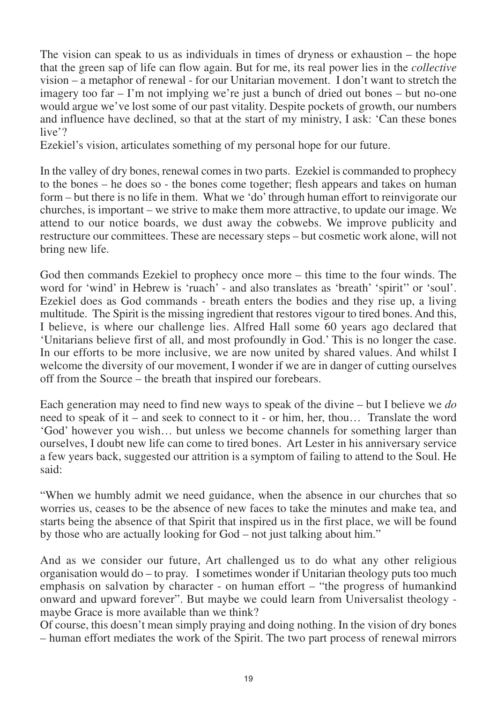The vision can speak to us as individuals in times of dryness or exhaustion – the hope that the green sap of life can flow again. But for me, its real power lies in the *collective* vision – a metaphor of renewal - for our Unitarian movement. I don't want to stretch the imagery too far  $-1$ 'm not implying we're just a bunch of dried out bones  $-$  but no-one would argue we've lost some of our past vitality. Despite pockets of growth, our numbers and influence have declined, so that at the start of my ministry, I ask: 'Can these bones live'?

Ezekiel's vision, articulates something of my personal hope for our future.

In the valley of dry bones, renewal comes in two parts. Ezekiel is commanded to prophecy to the bones – he does so - the bones come together; flesh appears and takes on human form – but there is no life in them. What we 'do' through human effort to reinvigorate our churches, is important – we strive to make them more attractive, to update our image. We attend to our notice boards, we dust away the cobwebs. We improve publicity and restructure our committees. These are necessary steps – but cosmetic work alone, will not bring new life.

God then commands Ezekiel to prophecy once more – this time to the four winds. The word for 'wind' in Hebrew is 'ruach' - and also translates as 'breath' 'spirit'' or 'soul'. Ezekiel does as God commands - breath enters the bodies and they rise up, a living multitude. The Spirit is the missing ingredient that restores vigour to tired bones. And this, I believe, is where our challenge lies. Alfred Hall some 60 years ago declared that 'Unitarians believe first of all, and most profoundly in God.' This is no longer the case. In our efforts to be more inclusive, we are now united by shared values. And whilst I welcome the diversity of our movement, I wonder if we are in danger of cutting ourselves off from the Source – the breath that inspired our forebears.

Each generation may need to find new ways to speak of the divine – but I believe we *do* need to speak of it – and seek to connect to it - or him, her, thou… Translate the word 'God' however you wish… but unless we become channels for something larger than ourselves, I doubt new life can come to tired bones. Art Lester in his anniversary service a few years back, suggested our attrition is a symptom of failing to attend to the Soul. He said:

"When we humbly admit we need guidance, when the absence in our churches that so worries us, ceases to be the absence of new faces to take the minutes and make tea, and starts being the absence of that Spirit that inspired us in the first place, we will be found by those who are actually looking for God – not just talking about him."

And as we consider our future, Art challenged us to do what any other religious organisation would do – to pray. I sometimes wonder if Unitarian theology puts too much emphasis on salvation by character - on human effort – "the progress of humankind onward and upward forever". But maybe we could learn from Universalist theology maybe Grace is more available than we think?

Of course, this doesn't mean simply praying and doing nothing. In the vision of dry bones – human effort mediates the work of the Spirit. The two part process of renewal mirrors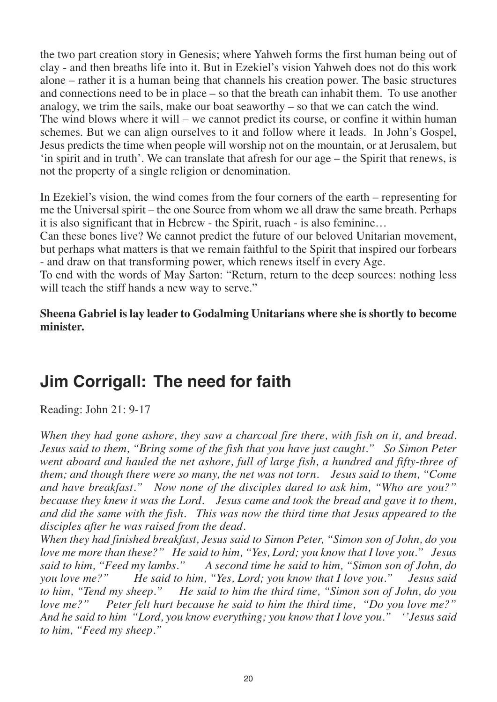the two part creation story in Genesis; where Yahweh forms the first human being out of clay - and then breaths life into it. But in Ezekiel's vision Yahweh does not do this work alone – rather it is a human being that channels his creation power. The basic structures and connections need to be in place – so that the breath can inhabit them. To use another analogy, we trim the sails, make our boat seaworthy – so that we can catch the wind.

The wind blows where it will – we cannot predict its course, or confine it within human schemes. But we can align ourselves to it and follow where it leads. In John's Gospel, Jesus predicts the time when people will worship not on the mountain, or at Jerusalem, but 'in spirit and in truth'. We can translate that afresh for our age – the Spirit that renews, is not the property of a single religion or denomination.

In Ezekiel's vision, the wind comes from the four corners of the earth – representing for me the Universal spirit – the one Source from whom we all draw the same breath. Perhaps it is also significant that in Hebrew - the Spirit, ruach - is also feminine…

Can these bones live? We cannot predict the future of our beloved Unitarian movement, but perhaps what matters is that we remain faithful to the Spirit that inspired our forbears - and draw on that transforming power, which renews itself in every Age.

To end with the words of May Sarton: "Return, return to the deep sources: nothing less will teach the stiff hands a new way to serve."

**Sheena Gabriel is lay leader to Godalming Unitarians where she is shortly to become minister.**

## **Jim Corrigall: The need for faith**

Reading: John 21: 9-17

*When they had gone ashore, they saw a charcoal fire there, with fish on it, and bread. Jesus said to them, "Bring some of the fish that you have just caught." So Simon Peter went aboard and hauled the net ashore, full of large fish, a hundred and fifty-three of them; and though there were so many, the net was not torn. Jesus said to them, "Come and have breakfast." Now none of the disciples dared to ask him, "Who are you?" because they knew it was the Lord. Jesus came and took the bread and gave it to them, and did the same with the fish. This was now the third time that Jesus appeared to the disciples after he was raised from the dead.* 

*When they had finished breakfast, Jesus said to Simon Peter, "Simon son of John, do you love me more than these?" He said to him, "Yes, Lord; you know that I love you." Jesus said to him, "Feed my lambs." A second time he said to him, "Simon son of John, do you love me?" He said to him, "Yes, Lord; you know that I love you." Jesus said to him, "Tend my sheep." He said to him the third time, "Simon son of John, do you love me?" Peter felt hurt because he said to him the third time, "Do you love me?" And he said to him "Lord, you know everything; you know that I love you." ''Jesus said to him, "Feed my sheep."*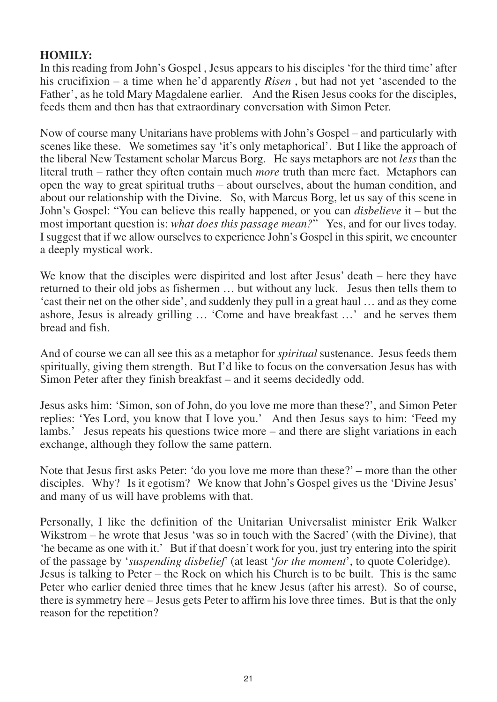#### **HOMILY:**

In this reading from John's Gospel , Jesus appears to his disciples 'for the third time' after his crucifixion – a time when he'd apparently *Risen*, but had not yet 'ascended to the Father', as he told Mary Magdalene earlier. And the Risen Jesus cooks for the disciples, feeds them and then has that extraordinary conversation with Simon Peter.

Now of course many Unitarians have problems with John's Gospel – and particularly with scenes like these. We sometimes say 'it's only metaphorical'. But I like the approach of the liberal New Testament scholar Marcus Borg. He says metaphors are not *less* than the literal truth – rather they often contain much *more* truth than mere fact. Metaphors can open the way to great spiritual truths – about ourselves, about the human condition, and about our relationship with the Divine. So, with Marcus Borg, let us say of this scene in John's Gospel: "You can believe this really happened, or you can *disbelieve* it – but the most important question is: *what does this passage mean?*" Yes, and for our lives today. I suggest that if we allow ourselves to experience John's Gospel in this spirit, we encounter a deeply mystical work.

We know that the disciples were dispirited and lost after Jesus' death – here they have returned to their old jobs as fishermen … but without any luck. Jesus then tells them to 'cast their net on the other side', and suddenly they pull in a great haul … and as they come ashore, Jesus is already grilling … 'Come and have breakfast …' and he serves them bread and fish.

And of course we can all see this as a metaphor for *spiritual* sustenance. Jesus feeds them spiritually, giving them strength. But I'd like to focus on the conversation Jesus has with Simon Peter after they finish breakfast – and it seems decidedly odd.

Jesus asks him: 'Simon, son of John, do you love me more than these?', and Simon Peter replies: 'Yes Lord, you know that I love you.' And then Jesus says to him: 'Feed my lambs.' Jesus repeats his questions twice more – and there are slight variations in each exchange, although they follow the same pattern.

Note that Jesus first asks Peter: 'do you love me more than these?' – more than the other disciples. Why? Is it egotism? We know that John's Gospel gives us the 'Divine Jesus' and many of us will have problems with that.

Personally, I like the definition of the Unitarian Universalist minister Erik Walker Wikstrom – he wrote that Jesus 'was so in touch with the Sacred' (with the Divine), that 'he became as one with it.' But if that doesn't work for you, just try entering into the spirit of the passage by '*suspending disbelief*' (at least '*for the moment*', to quote Coleridge). Jesus is talking to Peter – the Rock on which his Church is to be built. This is the same Peter who earlier denied three times that he knew Jesus (after his arrest). So of course, there is symmetry here – Jesus gets Peter to affirm his love three times. But is that the only reason for the repetition?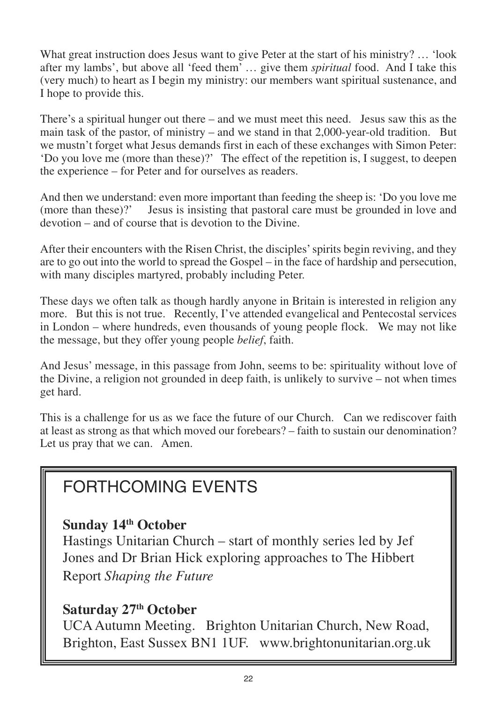What great instruction does Jesus want to give Peter at the start of his ministry? ... 'look after my lambs', but above all 'feed them' … give them *spiritual* food. And I take this (very much) to heart as I begin my ministry: our members want spiritual sustenance, and I hope to provide this.

There's a spiritual hunger out there – and we must meet this need. Jesus saw this as the main task of the pastor, of ministry – and we stand in that  $2,000$ -year-old tradition. But we mustn't forget what Jesus demands first in each of these exchanges with Simon Peter: 'Do you love me (more than these)?' The effect of the repetition is, I suggest, to deepen the experience – for Peter and for ourselves as readers.

And then we understand: even more important than feeding the sheep is: 'Do you love me<br>(more than these)?' Jesus is insisting that pastoral care must be grounded in love and Jesus is insisting that pastoral care must be grounded in love and devotion – and of course that is devotion to the Divine.

After their encounters with the Risen Christ, the disciples' spirits begin reviving, and they are to go out into the world to spread the Gospel – in the face of hardship and persecution, with many disciples martyred, probably including Peter.

These days we often talk as though hardly anyone in Britain is interested in religion any more. But this is not true. Recently, I've attended evangelical and Pentecostal services in London – where hundreds, even thousands of young people flock. We may not like the message, but they offer young people *belief*, faith.

And Jesus' message, in this passage from John, seems to be: spirituality without love of the Divine, a religion not grounded in deep faith, is unlikely to survive – not when times get hard.

This is a challenge for us as we face the future of our Church. Can we rediscover faith at least as strong as that which moved our forebears? – faith to sustain our denomination? Let us pray that we can. Amen.

## FORTHCOMING EVENTS

### **Sunday 14th October**

Hastings Unitarian Church – start of monthly series led by Jef Jones and Dr Brian Hick exploring approaches to The Hibbert Report *Shaping the Future*

### **Saturday 27th October**

UCA Autumn Meeting. Brighton Unitarian Church, New Road, Brighton, East Sussex BN1 1UF. www.brightonunitarian.org.uk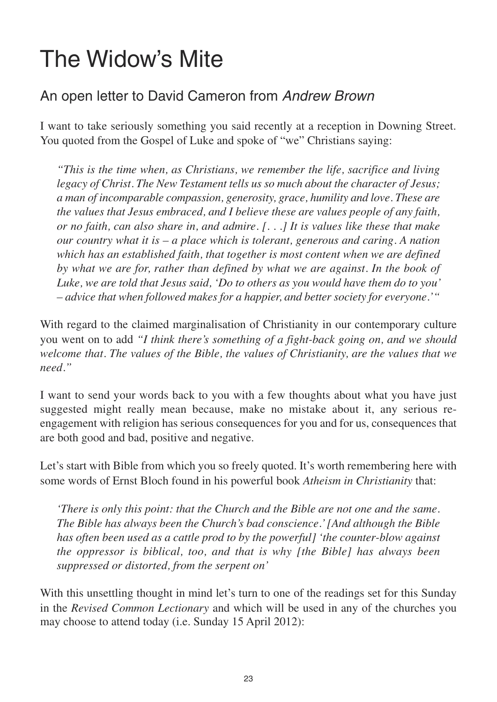## The Widow's Mite

### An open letter to David Cameron from *Andrew Brown*

I want to take seriously something you said recently at a reception in Downing Street. You quoted from the Gospel of Luke and spoke of "we" Christians saying:

*"This is the time when, as Christians, we remember the life, sacrifice and living legacy of Christ. The New Testament tells us so much about the character of Jesus; a man of incomparable compassion, generosity, grace, humility and love. These are the values that Jesus embraced, and I believe these are values people of any faith, or no faith, can also share in, and admire. [. . .] It is values like these that make our country what it is – a place which is tolerant, generous and caring. A nation which has an established faith, that together is most content when we are defined by what we are for, rather than defined by what we are against. In the book of Luke, we are told that Jesus said, 'Do to others as you would have them do to you' – advice that when followed makes for a happier, and better society for everyone.'"* 

With regard to the claimed marginalisation of Christianity in our contemporary culture you went on to add *"I think there's something of a fight-back going on, and we should welcome that. The values of the Bible, the values of Christianity, are the values that we need."*

I want to send your words back to you with a few thoughts about what you have just suggested might really mean because, make no mistake about it, any serious reengagement with religion has serious consequences for you and for us, consequences that are both good and bad, positive and negative.

Let's start with Bible from which you so freely quoted. It's worth remembering here with some words of Ernst Bloch found in his powerful book *Atheism in Christianity* that:

*'There is only this point: that the Church and the Bible are not one and the same. The Bible has always been the Church's bad conscience.' [And although the Bible has often been used as a cattle prod to by the powerful] 'the counter-blow against the oppressor is biblical, too, and that is why [the Bible] has always been suppressed or distorted, from the serpent on'* 

With this unsettling thought in mind let's turn to one of the readings set for this Sunday in the *Revised Common Lectionary* and which will be used in any of the churches you may choose to attend today (i.e. Sunday 15 April 2012):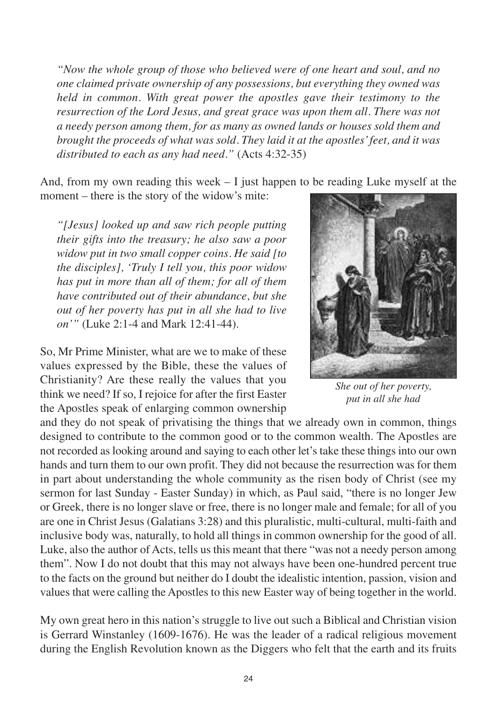*"Now the whole group of those who believed were of one heart and soul, and no one claimed private ownership of any possessions, but everything they owned was held in common. With great power the apostles gave their testimony to the resurrection of the Lord Jesus, and great grace was upon them all. There was not a needy person among them, for as many as owned lands or houses sold them and brought the proceeds of what was sold. They laid it at the apostles' feet, and it was distributed to each as any had need."* (Acts 4:32-35)

And, from my own reading this week  $-1$  just happen to be reading Luke myself at the

moment – there is the story of the widow's mite:

*"[Jesus] looked up and saw rich people putting their gifts into the treasury; he also saw a poor widow put in two small copper coins. He said [to the disciples], 'Truly I tell you, this poor widow has put in more than all of them; for all of them have contributed out of their abundance, but she out of her poverty has put in all she had to live on'"* (Luke 2:1-4 and Mark 12:41-44).

So, Mr Prime Minister, what are we to make of these values expressed by the Bible, these the values of Christianity? Are these really the values that you think we need? If so, I rejoice for after the first Easter the Apostles speak of enlarging common ownership

and they do not speak of privatising the things that we already own in common, things designed to contribute to the common good or to the common wealth. The Apostles are not recorded as looking around and saying to each other let's take these things into our own hands and turn them to our own profit. They did not because the resurrection was for them in part about understanding the whole community as the risen body of Christ (see my sermon for last Sunday - Easter Sunday) in which, as Paul said, "there is no longer Jew or Greek, there is no longer slave or free, there is no longer male and female; for all of you are one in Christ Jesus (Galatians 3:28) and this pluralistic, multi-cultural, multi-faith and inclusive body was, naturally, to hold all things in common ownership for the good of all. Luke, also the author of Acts, tells us this meant that there "was not a needy person among them". Now I do not doubt that this may not always have been one-hundred percent true to the facts on the ground but neither do I doubt the idealistic intention, passion, vision and values that were calling the Apostles to this new Easter way of being together in the world.

My own great hero in this nation's struggle to live out such a Biblical and Christian vision is Gerrard Winstanley (1609-1676). He was the leader of a radical religious movement during the English Revolution known as the Diggers who felt that the earth and its fruits



*She out of her poverty, put in all she had*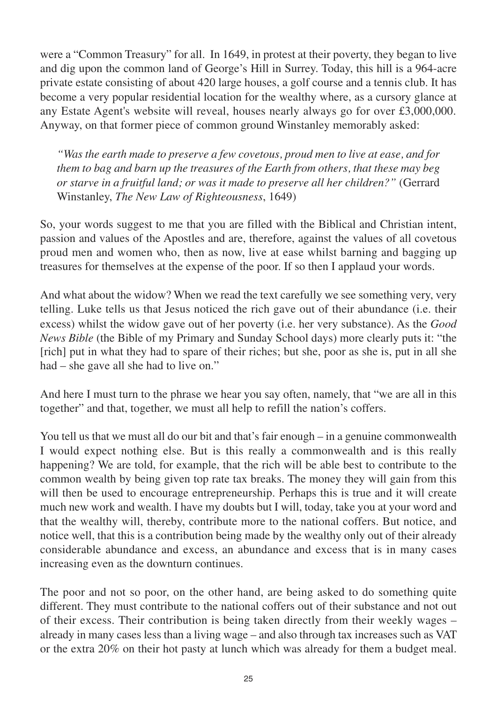were a "Common Treasury" for all. In 1649, in protest at their poverty, they began to live and dig upon the common land of George's Hill in Surrey. Today, this hill is a 964-acre private estate consisting of about 420 large houses, a golf course and a tennis club. It has become a very popular residential location for the wealthy where, as a cursory glance at any Estate Agent's website will reveal, houses nearly always go for over £3,000,000. Anyway, on that former piece of common ground Winstanley memorably asked:

*"Was the earth made to preserve a few covetous, proud men to live at ease, and for them to bag and barn up the treasures of the Earth from others, that these may beg or starve in a fruitful land; or was it made to preserve all her children?"* (Gerrard Winstanley, *The New Law of Righteousness*, 1649)

So, your words suggest to me that you are filled with the Biblical and Christian intent, passion and values of the Apostles and are, therefore, against the values of all covetous proud men and women who, then as now, live at ease whilst barning and bagging up treasures for themselves at the expense of the poor. If so then I applaud your words.

And what about the widow? When we read the text carefully we see something very, very telling. Luke tells us that Jesus noticed the rich gave out of their abundance (i.e. their excess) whilst the widow gave out of her poverty (i.e. her very substance). As the *Good News Bible* (the Bible of my Primary and Sunday School days) more clearly puts it: "the [rich] put in what they had to spare of their riches; but she, poor as she is, put in all she had – she gave all she had to live on."

And here I must turn to the phrase we hear you say often, namely, that "we are all in this together" and that, together, we must all help to refill the nation's coffers.

You tell us that we must all do our bit and that's fair enough – in a genuine commonwealth I would expect nothing else. But is this really a commonwealth and is this really happening? We are told, for example, that the rich will be able best to contribute to the common wealth by being given top rate tax breaks. The money they will gain from this will then be used to encourage entrepreneurship. Perhaps this is true and it will create much new work and wealth. I have my doubts but I will, today, take you at your word and that the wealthy will, thereby, contribute more to the national coffers. But notice, and notice well, that this is a contribution being made by the wealthy only out of their already considerable abundance and excess, an abundance and excess that is in many cases increasing even as the downturn continues.

The poor and not so poor, on the other hand, are being asked to do something quite different. They must contribute to the national coffers out of their substance and not out of their excess. Their contribution is being taken directly from their weekly wages – already in many cases less than a living wage – and also through tax increases such as VAT or the extra 20% on their hot pasty at lunch which was already for them a budget meal.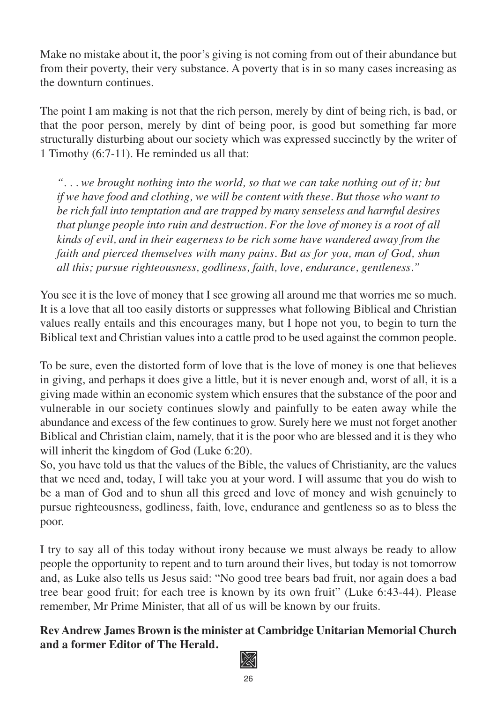Make no mistake about it, the poor's giving is not coming from out of their abundance but from their poverty, their very substance. A poverty that is in so many cases increasing as the downturn continues.

The point I am making is not that the rich person, merely by dint of being rich, is bad, or that the poor person, merely by dint of being poor, is good but something far more structurally disturbing about our society which was expressed succinctly by the writer of 1 Timothy (6:7-11). He reminded us all that:

*". . . we brought nothing into the world, so that we can take nothing out of it; but if we have food and clothing, we will be content with these. But those who want to be rich fall into temptation and are trapped by many senseless and harmful desires that plunge people into ruin and destruction. For the love of money is a root of all kinds of evil, and in their eagerness to be rich some have wandered away from the faith and pierced themselves with many pains. But as for you, man of God, shun all this; pursue righteousness, godliness, faith, love, endurance, gentleness."*

You see it is the love of money that I see growing all around me that worries me so much. It is a love that all too easily distorts or suppresses what following Biblical and Christian values really entails and this encourages many, but I hope not you, to begin to turn the Biblical text and Christian values into a cattle prod to be used against the common people.

To be sure, even the distorted form of love that is the love of money is one that believes in giving, and perhaps it does give a little, but it is never enough and, worst of all, it is a giving made within an economic system which ensures that the substance of the poor and vulnerable in our society continues slowly and painfully to be eaten away while the abundance and excess of the few continues to grow. Surely here we must not forget another Biblical and Christian claim, namely, that it is the poor who are blessed and it is they who will inherit the kingdom of God (Luke 6:20).

So, you have told us that the values of the Bible, the values of Christianity, are the values that we need and, today, I will take you at your word. I will assume that you do wish to be a man of God and to shun all this greed and love of money and wish genuinely to pursue righteousness, godliness, faith, love, endurance and gentleness so as to bless the poor.

I try to say all of this today without irony because we must always be ready to allow people the opportunity to repent and to turn around their lives, but today is not tomorrow and, as Luke also tells us Jesus said: "No good tree bears bad fruit, nor again does a bad tree bear good fruit; for each tree is known by its own fruit" (Luke 6:43-44). Please remember, Mr Prime Minister, that all of us will be known by our fruits.

### **Rev Andrew James Brown is the minister at Cambridge Unitarian Memorial Church and a former Editor of The Herald.**

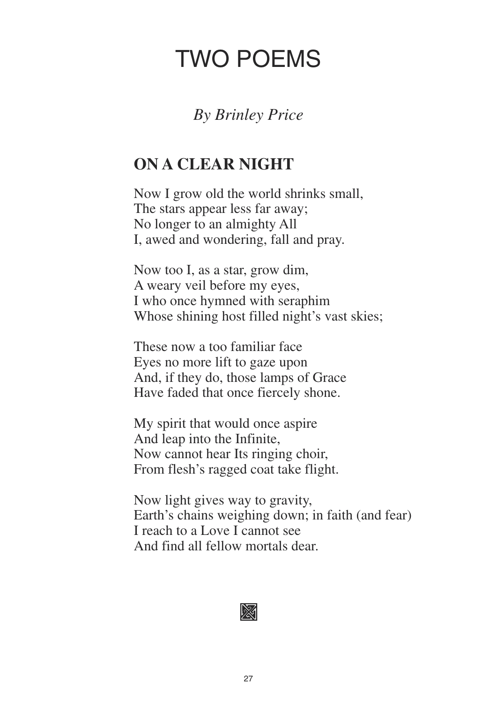## TWO POEMS

### *By Brinley Price*

## **ON A CLEAR NIGHT**

Now I grow old the world shrinks small, The stars appear less far away; No longer to an almighty All I, awed and wondering, fall and pray.

Now too I, as a star, grow dim, A weary veil before my eyes, I who once hymned with seraphim Whose shining host filled night's vast skies;

These now a too familiar face Eyes no more lift to gaze upon And, if they do, those lamps of Grace Have faded that once fiercely shone.

My spirit that would once aspire And leap into the Infinite, Now cannot hear Its ringing choir, From flesh's ragged coat take flight.

Now light gives way to gravity, Earth's chains weighing down; in faith (and fear) I reach to a Love I cannot see And find all fellow mortals dear.

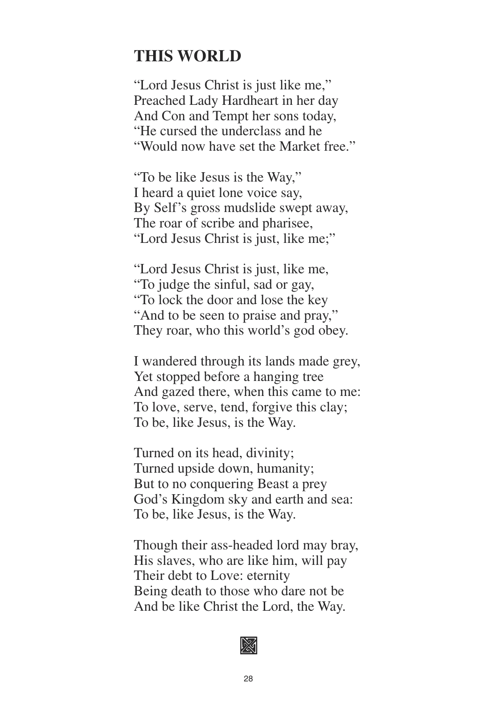### **THIS WORLD**

"Lord Jesus Christ is just like me," Preached Lady Hardheart in her day And Con and Tempt her sons today, "He cursed the underclass and he "Would now have set the Market free."

"To be like Jesus is the Way," I heard a quiet lone voice say, By Self's gross mudslide swept away, The roar of scribe and pharisee, "Lord Jesus Christ is just, like me;"

"Lord Jesus Christ is just, like me, "To judge the sinful, sad or gay, "To lock the door and lose the key "And to be seen to praise and pray," They roar, who this world's god obey.

I wandered through its lands made grey, Yet stopped before a hanging tree And gazed there, when this came to me: To love, serve, tend, forgive this clay; To be, like Jesus, is the Way.

Turned on its head, divinity; Turned upside down, humanity; But to no conquering Beast a prey God's Kingdom sky and earth and sea: To be, like Jesus, is the Way.

Though their ass-headed lord may bray, His slaves, who are like him, will pay Their debt to Love: eternity Being death to those who dare not be And be like Christ the Lord, the Way.

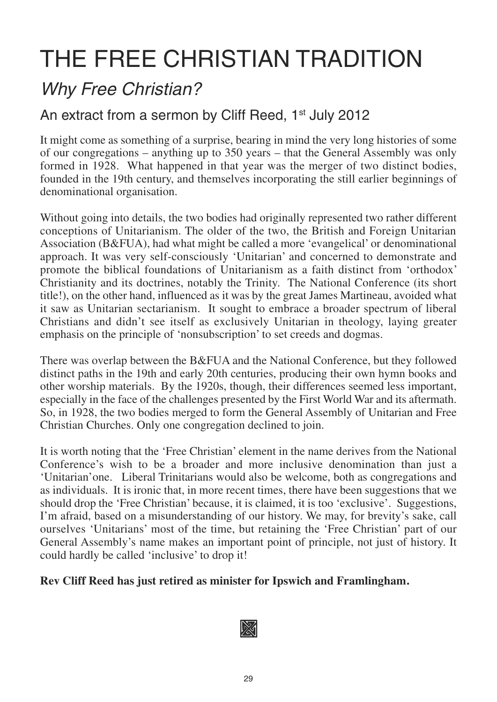## THE FREE CHRISTIAN TRADITION

## *Why Free Christian?*

### An extract from a sermon by Cliff Reed, 1<sup>st</sup> July 2012

It might come as something of a surprise, bearing in mind the very long histories of some of our congregations – anything up to 350 years – that the General Assembly was only formed in 1928. What happened in that year was the merger of two distinct bodies, founded in the 19th century, and themselves incorporating the still earlier beginnings of denominational organisation.

Without going into details, the two bodies had originally represented two rather different conceptions of Unitarianism. The older of the two, the British and Foreign Unitarian Association (B&FUA), had what might be called a more 'evangelical' or denominational approach. It was very self-consciously 'Unitarian' and concerned to demonstrate and promote the biblical foundations of Unitarianism as a faith distinct from 'orthodox' Christianity and its doctrines, notably the Trinity. The National Conference (its short title!), on the other hand, influenced as it was by the great James Martineau, avoided what it saw as Unitarian sectarianism. It sought to embrace a broader spectrum of liberal Christians and didn't see itself as exclusively Unitarian in theology, laying greater emphasis on the principle of 'nonsubscription' to set creeds and dogmas.

There was overlap between the B&FUA and the National Conference, but they followed distinct paths in the 19th and early 20th centuries, producing their own hymn books and other worship materials. By the 1920s, though, their differences seemed less important, especially in the face of the challenges presented by the First World War and its aftermath. So, in 1928, the two bodies merged to form the General Assembly of Unitarian and Free Christian Churches. Only one congregation declined to join.

It is worth noting that the 'Free Christian' element in the name derives from the National Conference's wish to be a broader and more inclusive denomination than just a 'Unitarian'one. Liberal Trinitarians would also be welcome, both as congregations and as individuals. It is ironic that, in more recent times, there have been suggestions that we should drop the 'Free Christian' because, it is claimed, it is too 'exclusive'. Suggestions, I'm afraid, based on a misunderstanding of our history. We may, for brevity's sake, call ourselves 'Unitarians' most of the time, but retaining the 'Free Christian' part of our General Assembly's name makes an important point of principle, not just of history. It could hardly be called 'inclusive' to drop it!

#### **Rev Cliff Reed has just retired as minister for Ipswich and Framlingham.**

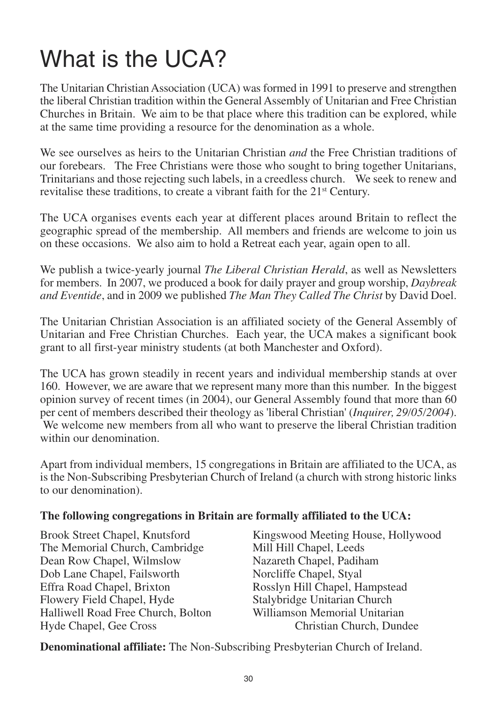## What is the UCA?

The Unitarian Christian Association (UCA) was formed in 1991 to preserve and strengthen the liberal Christian tradition within the General Assembly of Unitarian and Free Christian Churches in Britain. We aim to be that place where this tradition can be explored, while at the same time providing a resource for the denomination as a whole.

We see ourselves as heirs to the Unitarian Christian *and* the Free Christian traditions of our forebears. The Free Christians were those who sought to bring together Unitarians, Trinitarians and those rejecting such labels, in a creedless church. We seek to renew and revitalise these traditions, to create a vibrant faith for the 21<sup>st</sup> Century.

The UCA organises events each year at different places around Britain to reflect the geographic spread of the membership. All members and friends are welcome to join us on these occasions. We also aim to hold a Retreat each year, again open to all.

We publish a twice-yearly journal *The Liberal Christian Herald*, as well as Newsletters for members. In 2007, we produced a book for daily prayer and group worship, *Daybreak and Eventide*, and in 2009 we published *The Man They Called The Christ* by David Doel.

The Unitarian Christian Association is an affiliated society of the General Assembly of Unitarian and Free Christian Churches. Each year, the UCA makes a significant book grant to all first-year ministry students (at both Manchester and Oxford).

The UCA has grown steadily in recent years and individual membership stands at over 160. However, we are aware that we represent many more than this number. In the biggest opinion survey of recent times (in 2004), our General Assembly found that more than 60 per cent of members described their theology as 'liberal Christian' (*Inquirer, 29/05/2004*). We welcome new members from all who want to preserve the liberal Christian tradition within our denomination.

Apart from individual members, 15 congregations in Britain are affiliated to the UCA, as is the Non-Subscribing Presbyterian Church of Ireland (a church with strong historic links to our denomination).

### **The following congregations in Britain are formally affiliated to the UCA:**

The Memorial Church, Cambridge Mill Hill Chapel, Leeds Dean Row Chapel, Wilmslow Nazareth Chapel, Padiham<br>
Dob Lane Chapel, Failsworth Norcliffe Chapel, Styal Dob Lane Chapel, Failsworth Effra Road Chapel, Brixton Rosslyn Hill Chapel, Hampstead Flowery Field Chapel, Hyde Stalybridge Unitarian Church<br>
Halliwell Road Free Church, Bolton Williamson Memorial Unitarian Halliwell Road Free Church, Bolton Hyde Chapel, Gee Cross Christian Church, Dundee

Brook Street Chapel, Knutsford Kingswood Meeting House, Hollywood

**Denominational affiliate:** The Non-Subscribing Presbyterian Church of Ireland.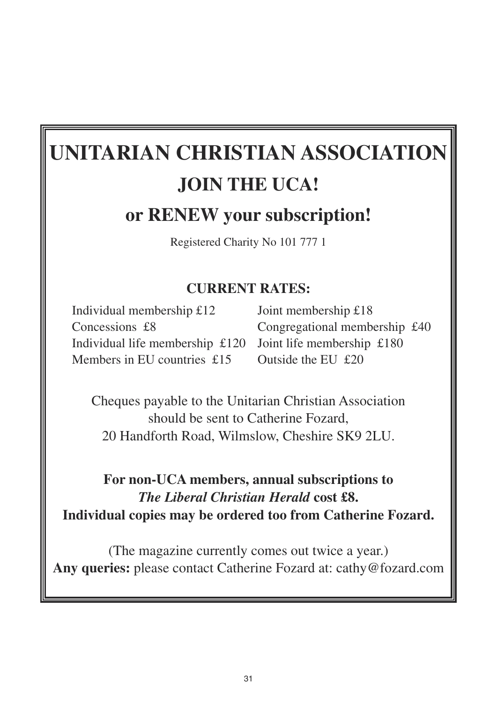## **UNITARIAN CHRISTIAN ASSOCIATION JOIN THE UCA! or RENEW your subscription!**

Registered Charity No 101 777 1

### **CURRENT RATES:**

Individual membership £12 Joint membership £18 Individual life membership £120 Joint life membership £180 Members in EU countries £15 Outside the EU £20

Concessions £8 Congregational membership £40

Cheques payable to the Unitarian Christian Association should be sent to Catherine Fozard, 20 Handforth Road, Wilmslow, Cheshire SK9 2LU.

### **For non-UCA members, annual subscriptions to** *The Liberal Christian Herald* **cost £8. Individual copies may be ordered too from Catherine Fozard.**

(The magazine currently comes out twice a year.) **Any queries:** please contact Catherine Fozard at: cathy@fozard.com